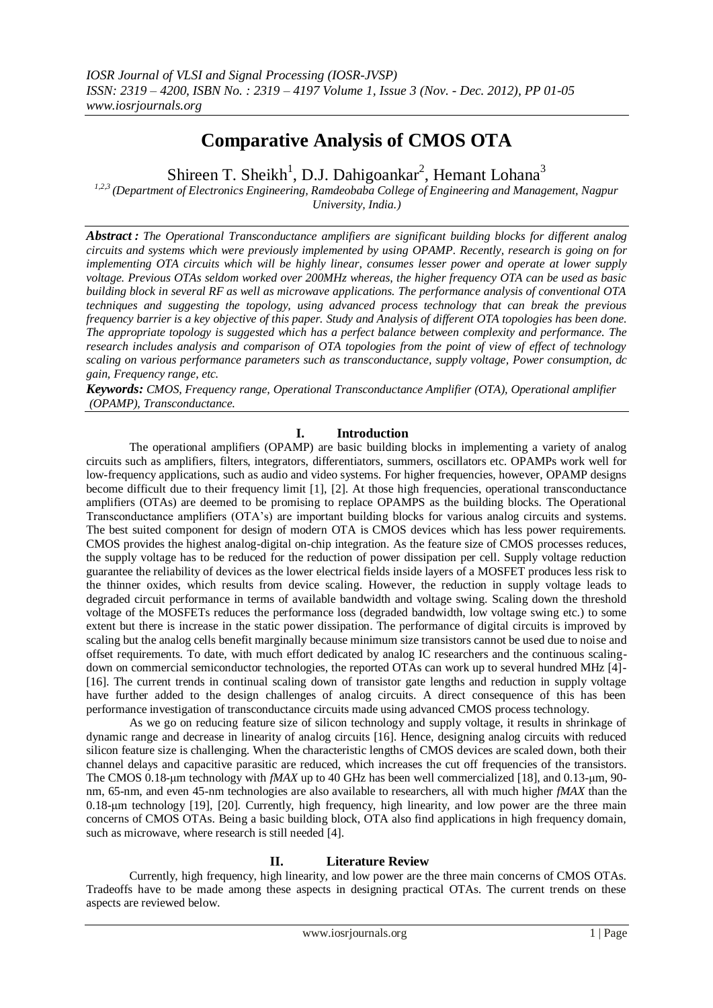## **Comparative Analysis of CMOS OTA**

Shireen T. Sheikh<sup>1</sup>, D.J. Dahigoankar<sup>2</sup>, Hemant Lohana<sup>3</sup>

*1,2,3 (Department of Electronics Engineering, Ramdeobaba College of Engineering and Management, Nagpur University, India.)*

*Abstract : The Operational Transconductance amplifiers are significant building blocks for different analog circuits and systems which were previously implemented by using OPAMP. Recently, research is going on for implementing OTA circuits which will be highly linear, consumes lesser power and operate at lower supply voltage. Previous OTAs seldom worked over 200MHz whereas, the higher frequency OTA can be used as basic building block in several RF as well as microwave applications. The performance analysis of conventional OTA techniques and suggesting the topology, using advanced process technology that can break the previous frequency barrier is a key objective of this paper. Study and Analysis of different OTA topologies has been done. The appropriate topology is suggested which has a perfect balance between complexity and performance. The research includes analysis and comparison of OTA topologies from the point of view of effect of technology scaling on various performance parameters such as transconductance, supply voltage, Power consumption, dc gain, Frequency range, etc.*

*Keywords: CMOS, Frequency range, Operational Transconductance Amplifier (OTA), Operational amplifier (OPAMP), Transconductance.*

## **I. Introduction**

The operational amplifiers (OPAMP) are basic building blocks in implementing a variety of analog circuits such as amplifiers, filters, integrators, differentiators, summers, oscillators etc. OPAMPs work well for low-frequency applications, such as audio and video systems. For higher frequencies, however, OPAMP designs become difficult due to their frequency limit [1], [2]. At those high frequencies, operational transconductance amplifiers (OTAs) are deemed to be promising to replace OPAMPS as the building blocks. The Operational Transconductance amplifiers (OTA"s) are important building blocks for various analog circuits and systems. The best suited component for design of modern OTA is CMOS devices which has less power requirements. CMOS provides the highest analog-digital on-chip integration. As the feature size of CMOS processes reduces, the supply voltage has to be reduced for the reduction of power dissipation per cell. Supply voltage reduction guarantee the reliability of devices as the lower electrical fields inside layers of a MOSFET produces less risk to the thinner oxides, which results from device scaling. However, the reduction in supply voltage leads to degraded circuit performance in terms of available bandwidth and voltage swing. Scaling down the threshold voltage of the MOSFETs reduces the performance loss (degraded bandwidth, low voltage swing etc.) to some extent but there is increase in the static power dissipation. The performance of digital circuits is improved by scaling but the analog cells benefit marginally because minimum size transistors cannot be used due to noise and offset requirements. To date, with much effort dedicated by analog IC researchers and the continuous scalingdown on commercial semiconductor technologies, the reported OTAs can work up to several hundred MHz [4]- [16]. The current trends in continual scaling down of transistor gate lengths and reduction in supply voltage have further added to the design challenges of analog circuits. A direct consequence of this has been performance investigation of transconductance circuits made using advanced CMOS process technology.

 As we go on reducing feature size of silicon technology and supply voltage, it results in shrinkage of dynamic range and decrease in linearity of analog circuits [16]. Hence, designing analog circuits with reduced silicon feature size is challenging. When the characteristic lengths of CMOS devices are scaled down, both their channel delays and capacitive parasitic are reduced, which increases the cut off frequencies of the transistors. The CMOS 0.18-μm technology with *fMAX* up to 40 GHz has been well commercialized [18], and 0.13-μm, 90 nm, 65-nm, and even 45-nm technologies are also available to researchers, all with much higher *fMAX* than the 0.18-μm technology [19], [20]. Currently, high frequency, high linearity, and low power are the three main concerns of CMOS OTAs. Being a basic building block, OTA also find applications in high frequency domain, such as microwave, where research is still needed [4].

## **II. Literature Review**

Currently, high frequency, high linearity, and low power are the three main concerns of CMOS OTAs. Tradeoffs have to be made among these aspects in designing practical OTAs. The current trends on these aspects are reviewed below.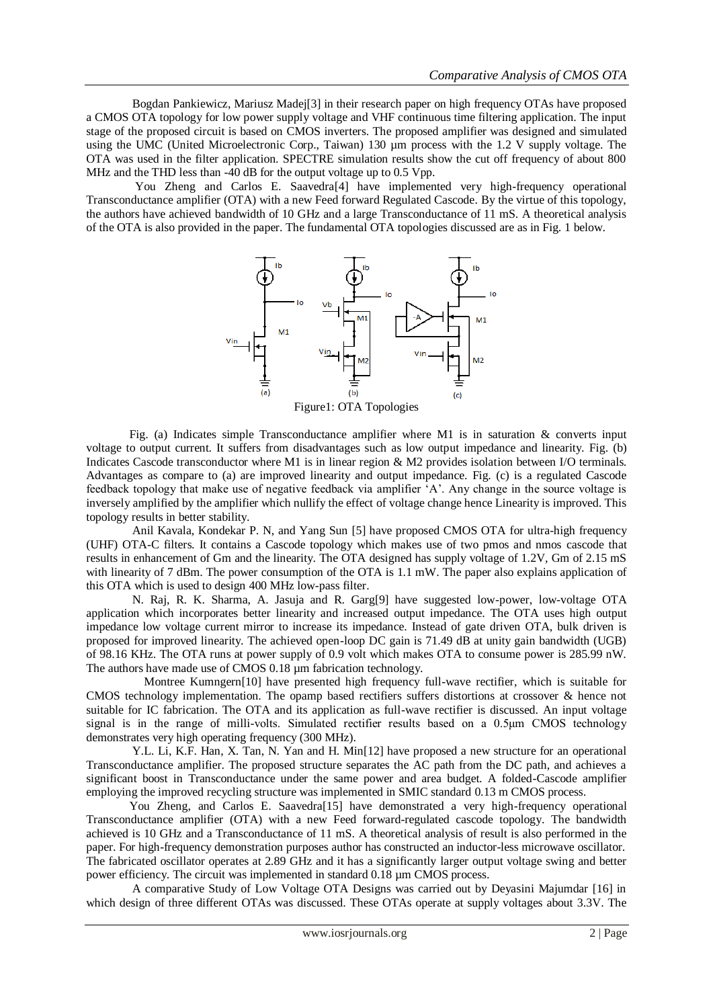Bogdan Pankiewicz, Mariusz Madej[3] in their research paper on high frequency OTAs have proposed a CMOS OTA topology for low power supply voltage and VHF continuous time filtering application. The input stage of the proposed circuit is based on CMOS inverters. The proposed amplifier was designed and simulated using the UMC (United Microelectronic Corp., Taiwan) 130 µm process with the 1.2 V supply voltage. The OTA was used in the filter application. SPECTRE simulation results show the cut off frequency of about 800 MHz and the THD less than -40 dB for the output voltage up to 0.5 Vpp.

 You Zheng and Carlos E. Saavedra[4] have implemented very high-frequency operational Transconductance amplifier (OTA) with a new Feed forward Regulated Cascode. By the virtue of this topology, the authors have achieved bandwidth of 10 GHz and a large Transconductance of 11 mS. A theoretical analysis of the OTA is also provided in the paper. The fundamental OTA topologies discussed are as in Fig. 1 below.



Figure1: OTA Topologies

 Fig. (a) Indicates simple Transconductance amplifier where M1 is in saturation & converts input voltage to output current. It suffers from disadvantages such as low output impedance and linearity. Fig. (b) Indicates Cascode transconductor where M1 is in linear region & M2 provides isolation between I/O terminals. Advantages as compare to (a) are improved linearity and output impedance. Fig. (c) is a regulated Cascode feedback topology that make use of negative feedback via amplifier "A". Any change in the source voltage is inversely amplified by the amplifier which nullify the effect of voltage change hence Linearity is improved. This topology results in better stability.

 Anil Kavala, Kondekar P. N, and Yang Sun [5] have proposed CMOS OTA for ultra-high frequency (UHF) OTA-C filters. It contains a Cascode topology which makes use of two pmos and nmos cascode that results in enhancement of Gm and the linearity. The OTA designed has supply voltage of 1.2V, Gm of 2.15 mS with linearity of 7 dBm. The power consumption of the OTA is 1.1 mW. The paper also explains application of this OTA which is used to design 400 MHz low-pass filter.

 N. Raj, R. K. Sharma, A. Jasuja and R. Garg[9] have suggested low-power, low-voltage OTA application which incorporates better linearity and increased output impedance. The OTA uses high output impedance low voltage current mirror to increase its impedance. Instead of gate driven OTA, bulk driven is proposed for improved linearity. The achieved open-loop DC gain is 71.49 dB at unity gain bandwidth (UGB) of 98.16 KHz. The OTA runs at power supply of 0.9 volt which makes OTA to consume power is 285.99 nW. The authors have made use of CMOS 0.18 µm fabrication technology.

 Montree Kumngern[10] have presented high frequency full-wave rectifier, which is suitable for CMOS technology implementation. The opamp based rectifiers suffers distortions at crossover & hence not suitable for IC fabrication. The OTA and its application as full-wave rectifier is discussed. An input voltage signal is in the range of milli-volts. Simulated rectifier results based on a 0.5μm CMOS technology demonstrates very high operating frequency (300 MHz).

 Y.L. Li, K.F. Han, X. Tan, N. Yan and H. Min[12] have proposed a new structure for an operational Transconductance amplifier. The proposed structure separates the AC path from the DC path, and achieves a significant boost in Transconductance under the same power and area budget. A folded-Cascode amplifier employing the improved recycling structure was implemented in SMIC standard 0.13 m CMOS process.

 You Zheng, and Carlos E. Saavedra[15] have demonstrated a very high-frequency operational Transconductance amplifier (OTA) with a new Feed forward-regulated cascode topology. The bandwidth achieved is 10 GHz and a Transconductance of 11 mS. A theoretical analysis of result is also performed in the paper. For high-frequency demonstration purposes author has constructed an inductor-less microwave oscillator. The fabricated oscillator operates at 2.89 GHz and it has a significantly larger output voltage swing and better power efficiency. The circuit was implemented in standard 0.18 µm CMOS process.

 A comparative Study of Low Voltage OTA Designs was carried out by Deyasini Majumdar [16] in which design of three different OTAs was discussed. These OTAs operate at supply voltages about 3.3V. The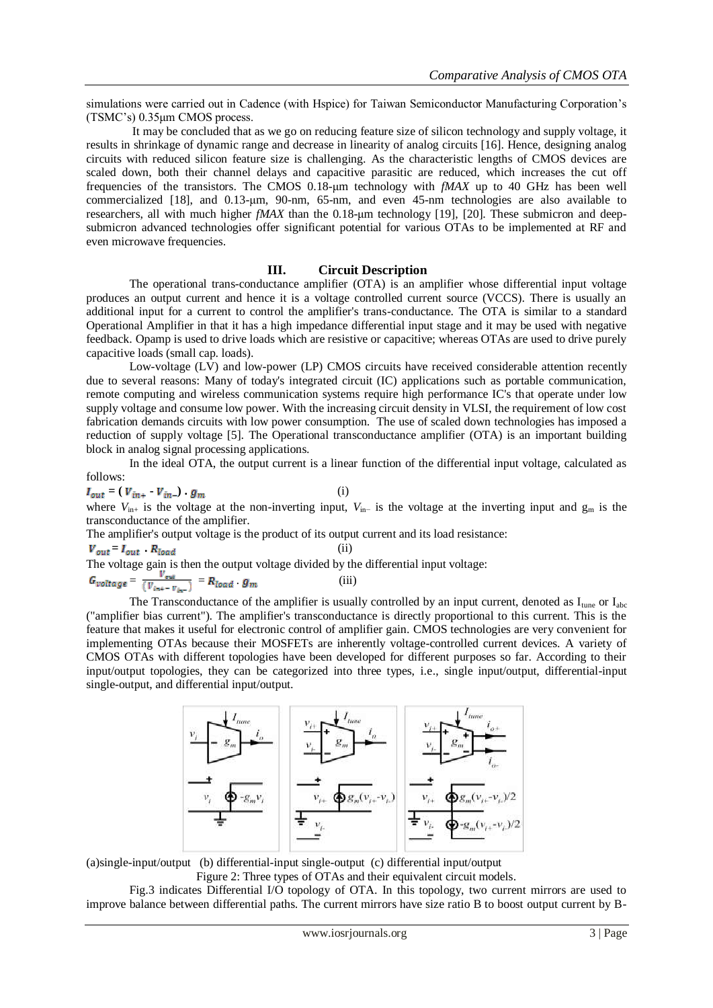simulations were carried out in Cadence (with Hspice) for Taiwan Semiconductor Manufacturing Corporation's (TSMC"s) 0.35μm CMOS process.

 It may be concluded that as we go on reducing feature size of silicon technology and supply voltage, it results in shrinkage of dynamic range and decrease in linearity of analog circuits [16]. Hence, designing analog circuits with reduced silicon feature size is challenging. As the characteristic lengths of CMOS devices are scaled down, both their channel delays and capacitive parasitic are reduced, which increases the cut off frequencies of the transistors. The CMOS 0.18-μm technology with *fMAX* up to 40 GHz has been well commercialized [18], and 0.13-μm, 90-nm, 65-nm, and even 45-nm technologies are also available to researchers, all with much higher *fMAX* than the 0.18-μm technology [19], [20]. These submicron and deepsubmicron advanced technologies offer significant potential for various OTAs to be implemented at RF and even microwave frequencies.

### **III. Circuit Description**

The operational trans-conductance amplifier (OTA) is an amplifier whose differential input voltage produces an output current and hence it is a voltage controlled current source (VCCS). There is usually an additional input for a current to control the amplifier's trans-conductance. The OTA is similar to a standard Operational Amplifier in that it has a high impedance differential input stage and it may be used with negative feedback. Opamp is used to drive loads which are resistive or capacitive; whereas OTAs are used to drive purely capacitive loads (small cap. loads).

 Low-voltage (LV) and low-power (LP) CMOS circuits have received considerable attention recently due to several reasons: Many of today's integrated circuit (IC) applications such as portable communication, remote computing and wireless communication systems require high performance IC's that operate under low supply voltage and consume low power. With the increasing circuit density in VLSI, the requirement of low cost fabrication demands circuits with low power consumption. The use of scaled down technologies has imposed a reduction of supply voltage [5]. The Operational transconductance amplifier (OTA) is an important building block in analog signal processing applications.

 In the ideal OTA, the output current is a linear function of the differential input voltage, calculated as follows:

 $I_{out} = (V_{in+} - V_{in-}) \cdot g_m$  (i)

where *V*<sub>in+</sub> is the voltage at the non-inverting input, *V*<sub>in−</sub> is the voltage at the inverting input and g<sub>m</sub> is the transconductance of the amplifier.

The amplifier's output voltage is the product of its output current and its load resistance:

 $= I_{out} \cdot R_{load}$  (ii)

The voltage gain is then the output voltage divided by the differential input voltage:

 $=\frac{v_{out}}{(v_{out}-v_{out})}=R_{load} \cdot g_m$  (iii)

The Transconductance of the amplifier is usually controlled by an input current, denoted as  $I_{\text{une}}$  or  $I_{abc}$ ("amplifier bias current"). The amplifier's transconductance is directly proportional to this current. This is the feature that makes it useful for electronic control of amplifier gain. CMOS technologies are very convenient for implementing OTAs because their MOSFETs are inherently voltage-controlled current devices. A variety of CMOS OTAs with different topologies have been developed for different purposes so far. According to their input/output topologies, they can be categorized into three types, i.e., single input/output, differential-input single-output, and differential input/output.



(a)single-input/output (b) differential-input single-output (c) differential input/output Figure 2: Three types of OTAs and their equivalent circuit models.

 Fig.3 indicates Differential I/O topology of OTA. In this topology, two current mirrors are used to improve balance between differential paths. The current mirrors have size ratio B to boost output current by B-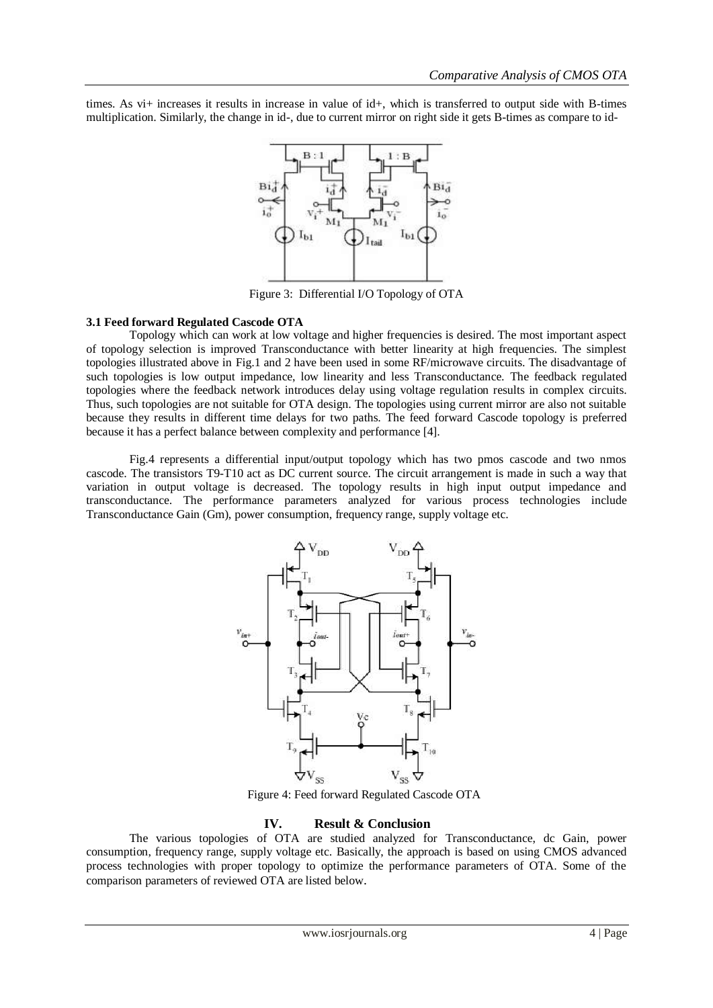times. As vi+ increases it results in increase in value of id+, which is transferred to output side with B-times multiplication. Similarly, the change in id-, due to current mirror on right side it gets B-times as compare to id-



Figure 3: Differential I/O Topology of OTA

## **3.1 Feed forward Regulated Cascode OTA**

Topology which can work at low voltage and higher frequencies is desired. The most important aspect of topology selection is improved Transconductance with better linearity at high frequencies. The simplest topologies illustrated above in Fig.1 and 2 have been used in some RF/microwave circuits. The disadvantage of such topologies is low output impedance, low linearity and less Transconductance. The feedback regulated topologies where the feedback network introduces delay using voltage regulation results in complex circuits. Thus, such topologies are not suitable for OTA design. The topologies using current mirror are also not suitable because they results in different time delays for two paths. The feed forward Cascode topology is preferred because it has a perfect balance between complexity and performance [4].

 Fig.4 represents a differential input/output topology which has two pmos cascode and two nmos cascode. The transistors T9-T10 act as DC current source. The circuit arrangement is made in such a way that variation in output voltage is decreased. The topology results in high input output impedance and transconductance. The performance parameters analyzed for various process technologies include Transconductance Gain (Gm), power consumption, frequency range, supply voltage etc.



Figure 4: Feed forward Regulated Cascode OTA

## **IV. Result & Conclusion**

The various topologies of OTA are studied analyzed for Transconductance, dc Gain, power consumption, frequency range, supply voltage etc. Basically, the approach is based on using CMOS advanced process technologies with proper topology to optimize the performance parameters of OTA. Some of the comparison parameters of reviewed OTA are listed below.